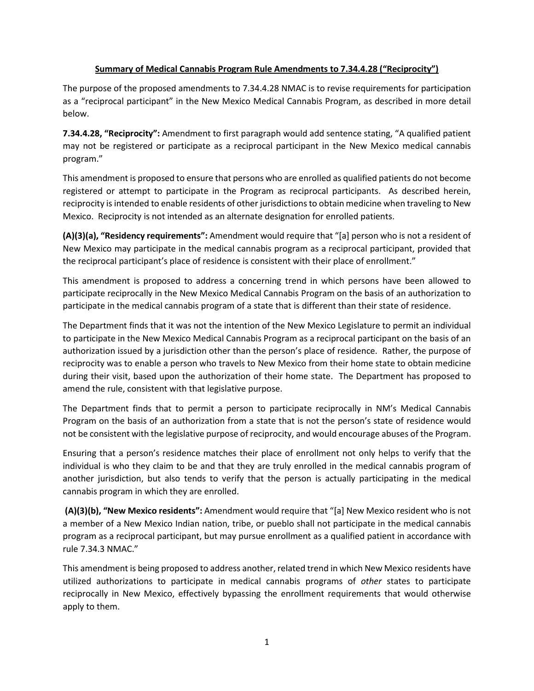## **Summary of Medical Cannabis Program Rule Amendments to 7.34.4.28 ("Reciprocity")**

The purpose of the proposed amendments to 7.34.4.28 NMAC is to revise requirements for participation as a "reciprocal participant" in the New Mexico Medical Cannabis Program, as described in more detail below.

**7.34.4.28, "Reciprocity":** Amendment to first paragraph would add sentence stating, "A qualified patient may not be registered or participate as a reciprocal participant in the New Mexico medical cannabis program."

This amendment is proposed to ensure that persons who are enrolled as qualified patients do not become registered or attempt to participate in the Program as reciprocal participants. As described herein, reciprocity is intended to enable residents of other jurisdictions to obtain medicine when traveling to New Mexico. Reciprocity is not intended as an alternate designation for enrolled patients.

**(A)(3)(a), "Residency requirements":** Amendment would require that "[a] person who is not a resident of New Mexico may participate in the medical cannabis program as a reciprocal participant, provided that the reciprocal participant's place of residence is consistent with their place of enrollment."

This amendment is proposed to address a concerning trend in which persons have been allowed to participate reciprocally in the New Mexico Medical Cannabis Program on the basis of an authorization to participate in the medical cannabis program of a state that is different than their state of residence.

The Department finds that it was not the intention of the New Mexico Legislature to permit an individual to participate in the New Mexico Medical Cannabis Program as a reciprocal participant on the basis of an authorization issued by a jurisdiction other than the person's place of residence. Rather, the purpose of reciprocity was to enable a person who travels to New Mexico from their home state to obtain medicine during their visit, based upon the authorization of their home state. The Department has proposed to amend the rule, consistent with that legislative purpose.

The Department finds that to permit a person to participate reciprocally in NM's Medical Cannabis Program on the basis of an authorization from a state that is not the person's state of residence would not be consistent with the legislative purpose of reciprocity, and would encourage abuses of the Program.

Ensuring that a person's residence matches their place of enrollment not only helps to verify that the individual is who they claim to be and that they are truly enrolled in the medical cannabis program of another jurisdiction, but also tends to verify that the person is actually participating in the medical cannabis program in which they are enrolled.

**(A)(3)(b), "New Mexico residents":** Amendment would require that "[a] New Mexico resident who is not a member of a New Mexico Indian nation, tribe, or pueblo shall not participate in the medical cannabis program as a reciprocal participant, but may pursue enrollment as a qualified patient in accordance with rule 7.34.3 NMAC."

This amendment is being proposed to address another, related trend in which New Mexico residents have utilized authorizations to participate in medical cannabis programs of *other* states to participate reciprocally in New Mexico, effectively bypassing the enrollment requirements that would otherwise apply to them.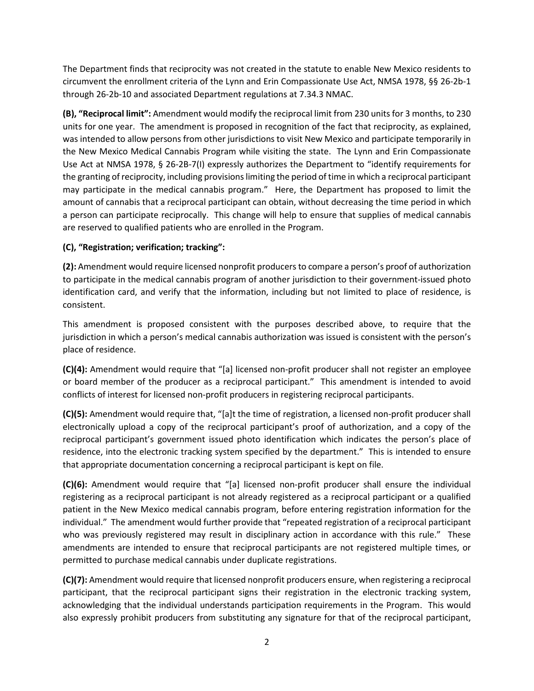The Department finds that reciprocity was not created in the statute to enable New Mexico residents to circumvent the enrollment criteria of the Lynn and Erin Compassionate Use Act, NMSA 1978, §§ 26-2b-1 through 26-2b-10 and associated Department regulations at 7.34.3 NMAC.

**(B), "Reciprocal limit":** Amendment would modify the reciprocal limit from 230 units for 3 months, to 230 units for one year. The amendment is proposed in recognition of the fact that reciprocity, as explained, was intended to allow persons from other jurisdictions to visit New Mexico and participate temporarily in the New Mexico Medical Cannabis Program while visiting the state. The Lynn and Erin Compassionate Use Act at NMSA 1978, § 26-2B-7(I) expressly authorizes the Department to "identify requirements for the granting of reciprocity, including provisions limiting the period of time in which a reciprocal participant may participate in the medical cannabis program." Here, the Department has proposed to limit the amount of cannabis that a reciprocal participant can obtain, without decreasing the time period in which a person can participate reciprocally. This change will help to ensure that supplies of medical cannabis are reserved to qualified patients who are enrolled in the Program.

## **(C), "Registration; verification; tracking":**

**(2):** Amendment would require licensed nonprofit producers to compare a person's proof of authorization to participate in the medical cannabis program of another jurisdiction to their government-issued photo identification card, and verify that the information, including but not limited to place of residence, is consistent.

This amendment is proposed consistent with the purposes described above, to require that the jurisdiction in which a person's medical cannabis authorization was issued is consistent with the person's place of residence.

**(C)(4):** Amendment would require that "[a] licensed non-profit producer shall not register an employee or board member of the producer as a reciprocal participant." This amendment is intended to avoid conflicts of interest for licensed non-profit producers in registering reciprocal participants.

**(C)(5):** Amendment would require that, "[a]t the time of registration, a licensed non-profit producer shall electronically upload a copy of the reciprocal participant's proof of authorization, and a copy of the reciprocal participant's government issued photo identification which indicates the person's place of residence, into the electronic tracking system specified by the department."This is intended to ensure that appropriate documentation concerning a reciprocal participant is kept on file.

**(C)(6):** Amendment would require that "[a] licensed non-profit producer shall ensure the individual registering as a reciprocal participant is not already registered as a reciprocal participant or a qualified patient in the New Mexico medical cannabis program, before entering registration information for the individual." The amendment would further provide that "repeated registration of a reciprocal participant who was previously registered may result in disciplinary action in accordance with this rule." These amendments are intended to ensure that reciprocal participants are not registered multiple times, or permitted to purchase medical cannabis under duplicate registrations.

**(C)(7):** Amendment would require that licensed nonprofit producers ensure, when registering a reciprocal participant, that the reciprocal participant signs their registration in the electronic tracking system, acknowledging that the individual understands participation requirements in the Program. This would also expressly prohibit producers from substituting any signature for that of the reciprocal participant,